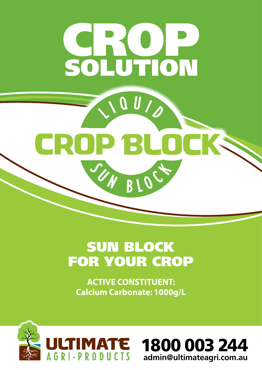

# SUN BLOCK FOR YOUR CROP

**ACTIVE CONSTITUENT: Calcium Carbonate: 1000g/L** 



1800 003 244 **admin@ultimateagri.com.au**